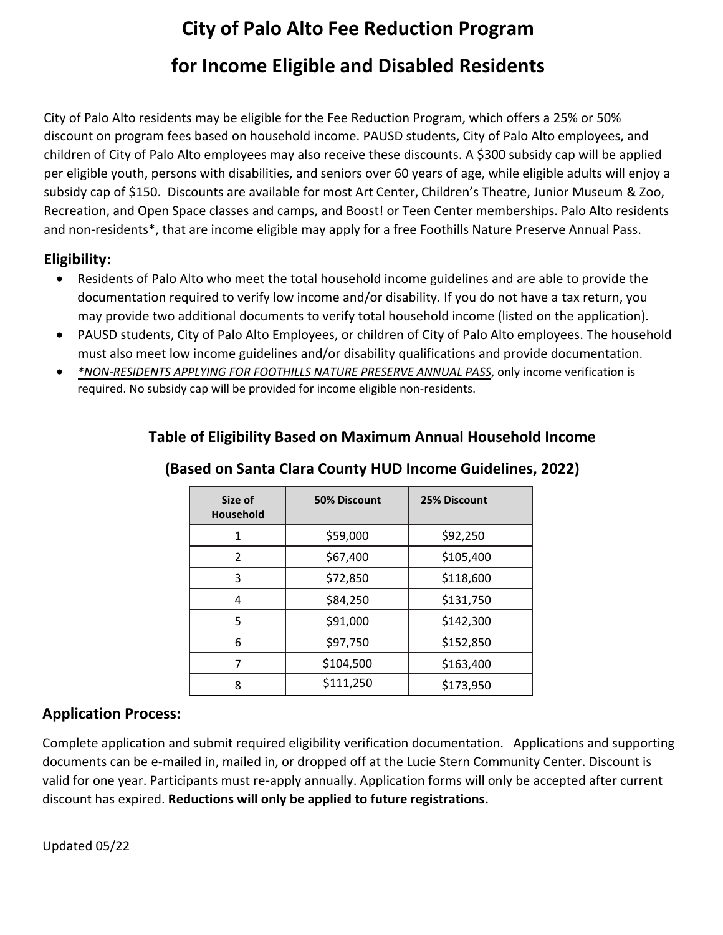# **City of Palo Alto Fee Reduction Program for Income Eligible and Disabled Residents**

City of Palo Alto residents may be eligible for the Fee Reduction Program, which offers a 25% or 50% discount on program fees based on household income. PAUSD students, City of Palo Alto employees, and children of City of Palo Alto employees may also receive these discounts. A \$300 subsidy cap will be applied per eligible youth, persons with disabilities, and seniors over 60 years of age, while eligible adults will enjoy a subsidy cap of \$150. Discounts are available for most Art Center, Children's Theatre, Junior Museum & Zoo, Recreation, and Open Space classes and camps, and Boost! or Teen Center memberships. Palo Alto residents and non-residents\*, that are income eligible may apply for a free Foothills Nature Preserve Annual Pass.

### **Eligibility:**

- Residents of Palo Alto who meet the total household income guidelines and are able to provide the documentation required to verify low income and/or disability. If you do not have a tax return, you may provide two additional documents to verify total household income (listed on the application).
- PAUSD students, City of Palo Alto Employees, or children of City of Palo Alto employees. The household must also meet low income guidelines and/or disability qualifications and provide documentation.
- *\*NON-RESIDENTS APPLYING FOR FOOTHILLS NATURE PRESERVE ANNUAL PASS*, only income verification is required. No subsidy cap will be provided for income eligible non-residents.

| Size of<br><b>Household</b> | <b>50% Discount</b> | 25% Discount |  |
|-----------------------------|---------------------|--------------|--|
| 1                           | \$59,000            | \$92,250     |  |
| $\mathfrak z$               | \$67,400            | \$105,400    |  |
| 3                           | \$72,850            | \$118,600    |  |
| 4                           | \$84,250            | \$131,750    |  |
| 5                           | \$91,000            | \$142,300    |  |
| 6                           | \$97,750            | \$152,850    |  |
| 7                           | \$104,500           | \$163,400    |  |
| 8                           | \$111,250           | \$173,950    |  |

### **Table of Eligibility Based on Maximum Annual Household Income**

## **(Based on Santa Clara County HUD Income Guidelines, 2022)**

### **Application Process:**

Complete application and submit required eligibility verification documentation. Applications and supporting documents can be e-mailed in, mailed in, or dropped off at the Lucie Stern Community Center. Discount is valid for one year. Participants must re-apply annually. Application forms will only be accepted after current discount has expired. **Reductions will only be applied to future registrations.** 

Updated 05/22